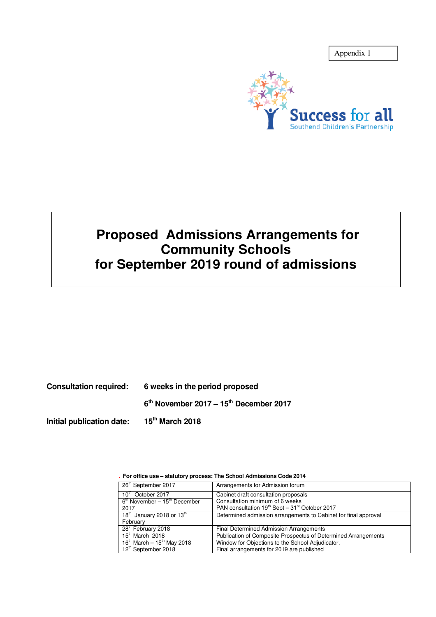



# **Proposed Admissions Arrangements for Community Schools for September 2019 round of admissions**

**Consultation required: 6 weeks in the period proposed** 

**6 th November 2017 – 15th December 2017** 

**Initial publication date: 15th March 2018** 

| 26 <sup>th</sup> September 2017            | Arrangements for Admission forum                                       |
|--------------------------------------------|------------------------------------------------------------------------|
| 10 <sup>th</sup> October 2017              | Cabinet draft consultation proposals                                   |
| $6th$ November – 15 <sup>th</sup> December | Consultation minimum of 6 weeks                                        |
| 2017                                       | PAN consultation 19 <sup>th</sup> Sept - 31 <sup>st</sup> October 2017 |
| 18 <sup>th</sup> January 2018 or $13th$    | Determined admission arrangements to Cabinet for final approval        |
| February                                   |                                                                        |
| 28 <sup>th</sup> February 2018             | Final Determined Admission Arrangements                                |
| $15th$ March 2018                          | Publication of Composite Prospectus of Determined Arrangements         |
| $16^{th}$ March - $15^{th}$ May 2018       | Window for Objections to the School Adjudicator.                       |
| 12th September 2018                        | Final arrangements for 2019 are published                              |

. **For office use – statutory process: The School Admissions Code 2014**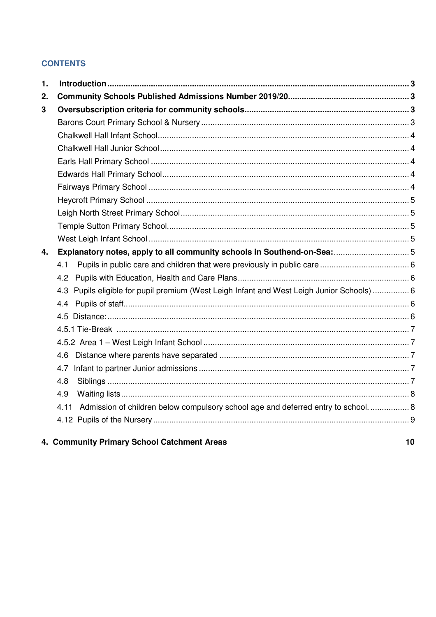## **CONTENTS**

| $\mathbf 1$ . |                                                                                            |  |
|---------------|--------------------------------------------------------------------------------------------|--|
| 2.            |                                                                                            |  |
| 3             |                                                                                            |  |
|               |                                                                                            |  |
|               |                                                                                            |  |
|               |                                                                                            |  |
|               |                                                                                            |  |
|               |                                                                                            |  |
|               |                                                                                            |  |
|               |                                                                                            |  |
|               |                                                                                            |  |
|               |                                                                                            |  |
|               |                                                                                            |  |
| 4.            |                                                                                            |  |
|               | 4.1                                                                                        |  |
|               | 4.2                                                                                        |  |
|               | 4.3 Pupils eligible for pupil premium (West Leigh Infant and West Leigh Junior Schools)  6 |  |
|               |                                                                                            |  |
|               |                                                                                            |  |
|               |                                                                                            |  |
|               |                                                                                            |  |
|               |                                                                                            |  |
|               | 4.7                                                                                        |  |
|               | 4.8                                                                                        |  |
|               | 4.9                                                                                        |  |
|               | Admission of children below compulsory school age and deferred entry to school 8<br>4.11   |  |
|               |                                                                                            |  |
|               |                                                                                            |  |

## 4. Community Primary School Catchment Areas

 $10$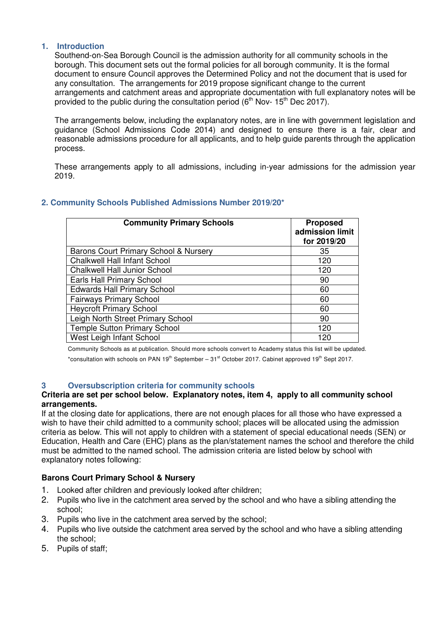#### **1. Introduction**

Southend-on-Sea Borough Council is the admission authority for all community schools in the borough. This document sets out the formal policies for all borough community. It is the formal document to ensure Council approves the Determined Policy and not the document that is used for any consultation. The arrangements for 2019 propose significant change to the current arrangements and catchment areas and appropriate documentation with full explanatory notes will be provided to the public during the consultation period  $(6<sup>th</sup>$  Nov- 15<sup>th</sup> Dec 2017).

The arrangements below, including the explanatory notes, are in line with government legislation and guidance (School Admissions Code 2014) and designed to ensure there is a fair, clear and reasonable admissions procedure for all applicants, and to help guide parents through the application process.

These arrangements apply to all admissions, including in-year admissions for the admission year 2019.

| <b>Community Primary Schools</b>      | <b>Proposed</b><br>admission limit<br>for 2019/20 |
|---------------------------------------|---------------------------------------------------|
| Barons Court Primary School & Nursery | 35                                                |
| <b>Chalkwell Hall Infant School</b>   | 120                                               |
| <b>Chalkwell Hall Junior School</b>   | 120                                               |
| Earls Hall Primary School             | 90                                                |
| <b>Edwards Hall Primary School</b>    | 60                                                |
| <b>Fairways Primary School</b>        | 60                                                |
| <b>Heycroft Primary School</b>        | 60                                                |
| Leigh North Street Primary School     | 90                                                |
| <b>Temple Sutton Primary School</b>   | 120                                               |
| West Leigh Infant School              | 120                                               |

## **2. Community Schools Published Admissions Number 2019/20\***

Community Schools as at publication. Should more schools convert to Academy status this list will be updated.

\*consultation with schools on PAN  $19<sup>th</sup>$  September –  $31<sup>st</sup>$  October 2017. Cabinet approved 19<sup>th</sup> Sept 2017.

#### **3 Oversubscription criteria for community schools**

#### **Criteria are set per school below. Explanatory notes, item 4, apply to all community school arrangements.**

If at the closing date for applications, there are not enough places for all those who have expressed a wish to have their child admitted to a community school; places will be allocated using the admission criteria as below. This will not apply to children with a statement of special educational needs (SEN) or Education, Health and Care (EHC) plans as the plan/statement names the school and therefore the child must be admitted to the named school. The admission criteria are listed below by school with explanatory notes following:

#### **Barons Court Primary School & Nursery**

- 1. Looked after children and previously looked after children;
- 2. Pupils who live in the catchment area served by the school and who have a sibling attending the school;
- 3. Pupils who live in the catchment area served by the school;
- 4. Pupils who live outside the catchment area served by the school and who have a sibling attending the school;
- 5. Pupils of staff;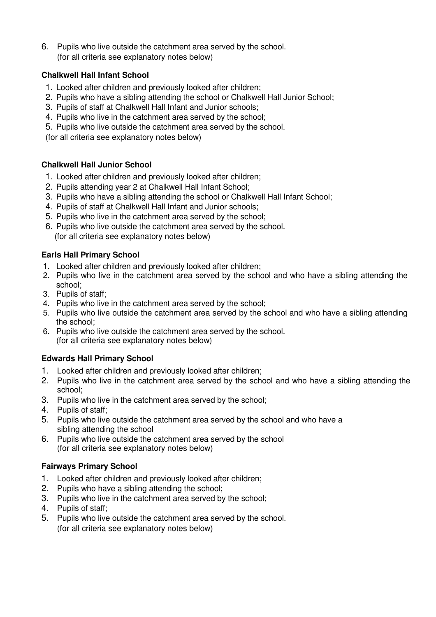6. Pupils who live outside the catchment area served by the school. (for all criteria see explanatory notes below)

## **Chalkwell Hall Infant School**

- 1. Looked after children and previously looked after children;
- 2. Pupils who have a sibling attending the school or Chalkwell Hall Junior School;
- 3. Pupils of staff at Chalkwell Hall Infant and Junior schools;
- 4. Pupils who live in the catchment area served by the school;
- 5. Pupils who live outside the catchment area served by the school.

(for all criteria see explanatory notes below)

## **Chalkwell Hall Junior School**

- 1. Looked after children and previously looked after children;
- 2. Pupils attending year 2 at Chalkwell Hall Infant School;
- 3. Pupils who have a sibling attending the school or Chalkwell Hall Infant School;
- 4. Pupils of staff at Chalkwell Hall Infant and Junior schools;
- 5. Pupils who live in the catchment area served by the school;
- 6. Pupils who live outside the catchment area served by the school. (for all criteria see explanatory notes below)

## **Earls Hall Primary School**

- 1. Looked after children and previously looked after children;
- 2. Pupils who live in the catchment area served by the school and who have a sibling attending the school;
- 3. Pupils of staff;
- 4. Pupils who live in the catchment area served by the school;
- 5. Pupils who live outside the catchment area served by the school and who have a sibling attending the school;
- 6. Pupils who live outside the catchment area served by the school. (for all criteria see explanatory notes below)

## **Edwards Hall Primary School**

- 1. Looked after children and previously looked after children;
- 2. Pupils who live in the catchment area served by the school and who have a sibling attending the school;
- 3. Pupils who live in the catchment area served by the school;
- 4. Pupils of staff;
- 5. Pupils who live outside the catchment area served by the school and who have a sibling attending the school
- 6. Pupils who live outside the catchment area served by the school (for all criteria see explanatory notes below)

## **Fairways Primary School**

- 1. Looked after children and previously looked after children;
- 2. Pupils who have a sibling attending the school;
- 3. Pupils who live in the catchment area served by the school;
- 4. Pupils of staff;
- 5. Pupils who live outside the catchment area served by the school. (for all criteria see explanatory notes below)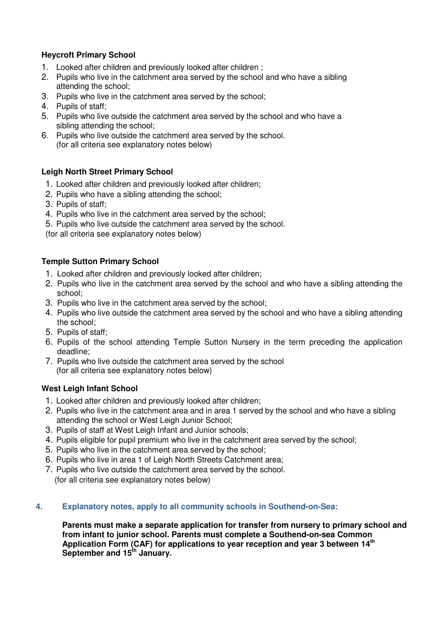## **Heycroft Primary School**

- 1. Looked after children and previously looked after children ;
- 2. Pupils who live in the catchment area served by the school and who have a sibling attending the school;
- 3. Pupils who live in the catchment area served by the school;
- 4. Pupils of staff;
- 5. Pupils who live outside the catchment area served by the school and who have a sibling attending the school;
- 6. Pupils who live outside the catchment area served by the school. (for all criteria see explanatory notes below)

#### **Leigh North Street Primary School**

- 1. Looked after children and previously looked after children;
- 2. Pupils who have a sibling attending the school;
- 3. Pupils of staff;
- 4. Pupils who live in the catchment area served by the school;
- 5. Pupils who live outside the catchment area served by the school.

(for all criteria see explanatory notes below)

#### **Temple Sutton Primary School**

- 1. Looked after children and previously looked after children;
- 2. Pupils who live in the catchment area served by the school and who have a sibling attending the school;
- 3. Pupils who live in the catchment area served by the school;
- 4. Pupils who live outside the catchment area served by the school and who have a sibling attending the school;
- 5. Pupils of staff;
- 6. Pupils of the school attending Temple Sutton Nursery in the term preceding the application deadline;
- 7. Pupils who live outside the catchment area served by the school (for all criteria see explanatory notes below)

#### **West Leigh Infant School**

- 1. Looked after children and previously looked after children;
- 2. Pupils who live in the catchment area and in area 1 served by the school and who have a sibling attending the school or West Leigh Junior School;
- 3. Pupils of staff at West Leigh Infant and Junior schools;
- 4. Pupils eligible for pupil premium who live in the catchment area served by the school;
- 5. Pupils who live in the catchment area served by the school;
- 6. Pupils who live in area 1 of Leigh North Streets Catchment area;
- 7. Pupils who live outside the catchment area served by the school. (for all criteria see explanatory notes below)

#### **4. Explanatory notes, apply to all community schools in Southend-on-Sea:**

**Parents must make a separate application for transfer from nursery to primary school and from infant to junior school. Parents must complete a Southend-on-sea Common Application Form (CAF) for applications to year reception and year 3 between 14th September and 15th January.**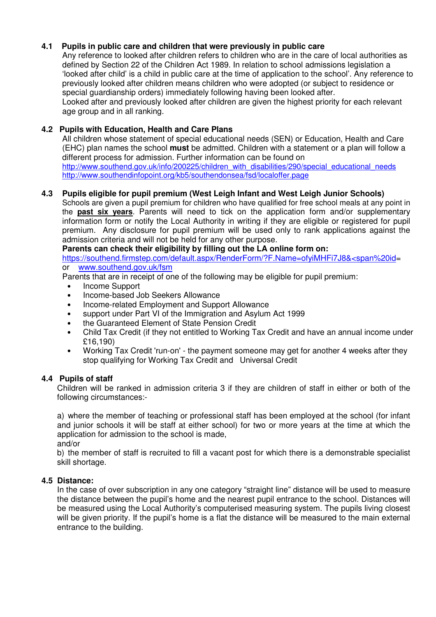#### **4.1 Pupils in public care and children that were previously in public care**

Any reference to looked after children refers to children who are in the care of local authorities as defined by Section 22 of the Children Act 1989. In relation to school admissions legislation a 'looked after child' is a child in public care at the time of application to the school'. Any reference to previously looked after children means children who were adopted (or subject to residence or special guardianship orders) immediately following having been looked after.

Looked after and previously looked after children are given the highest priority for each relevant age group and in all ranking.

#### **4.2 Pupils with Education, Health and Care Plans**

All children whose statement of special educational needs (SEN) or Education, Health and Care (EHC) plan names the school **must** be admitted. Children with a statement or a plan will follow a different process for admission. Further information can be found on http://www.southend.gov.uk/info/200225/children\_with\_disabilities/290/special\_educational\_needs

http://www.southendinfopoint.org/kb5/southendonsea/fsd/localoffer.page

#### **4.3 Pupils eligible for pupil premium (West Leigh Infant and West Leigh Junior Schools)**

Schools are given a pupil premium for children who have qualified for free school meals at any point in the **past six years**. Parents will need to tick on the application form and/or supplementary information form or notify the Local Authority in writing if they are eligible or registered for pupil premium. Any disclosure for pupil premium will be used only to rank applications against the admission criteria and will not be held for any other purpose.

 **Parents can check their eligibility by filling out the LA online form on:** 

https://southend.firmstep.com/default.aspx/RenderForm/?F.Name=ofyiMHFi7J8&<span%20id= or www.southend.gov.uk/fsm

Parents that are in receipt of one of the following may be eligible for pupil premium:

- Income Support
- Income-based Job Seekers Allowance
- Income-related Employment and Support Allowance
- support under Part VI of the Immigration and Asylum Act 1999
- the Guaranteed Element of State Pension Credit
- Child Tax Credit (if they not entitled to Working Tax Credit and have an annual income under £16,190)
- Working Tax Credit 'run-on' the payment someone may get for another 4 weeks after they stop qualifying for Working Tax Credit and Universal Credit

#### **4.4 Pupils of staff**

Children will be ranked in admission criteria 3 if they are children of staff in either or both of the following circumstances:-

a) where the member of teaching or professional staff has been employed at the school (for infant and junior schools it will be staff at either school) for two or more years at the time at which the application for admission to the school is made,

and/or

b) the member of staff is recruited to fill a vacant post for which there is a demonstrable specialist skill shortage.

### **4.5 Distance:**

In the case of over subscription in any one category "straight line" distance will be used to measure the distance between the pupil's home and the nearest pupil entrance to the school. Distances will be measured using the Local Authority's computerised measuring system. The pupils living closest will be given priority. If the pupil's home is a flat the distance will be measured to the main external entrance to the building.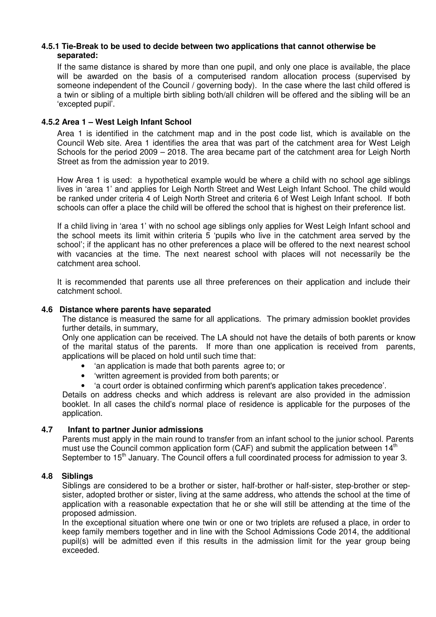#### **4.5.1 Tie-Break to be used to decide between two applications that cannot otherwise be separated:**

If the same distance is shared by more than one pupil, and only one place is available, the place will be awarded on the basis of a computerised random allocation process (supervised by someone independent of the Council / governing body). In the case where the last child offered is a twin or sibling of a multiple birth sibling both/all children will be offered and the sibling will be an 'excepted pupil'.

#### **4.5.2 Area 1 – West Leigh Infant School**

Area 1 is identified in the catchment map and in the post code list, which is available on the Council Web site. Area 1 identifies the area that was part of the catchment area for West Leigh Schools for the period 2009 – 2018. The area became part of the catchment area for Leigh North Street as from the admission year to 2019.

How Area 1 is used: a hypothetical example would be where a child with no school age siblings lives in 'area 1' and applies for Leigh North Street and West Leigh Infant School. The child would be ranked under criteria 4 of Leigh North Street and criteria 6 of West Leigh Infant school. If both schools can offer a place the child will be offered the school that is highest on their preference list.

If a child living in 'area 1' with no school age siblings only applies for West Leigh Infant school and the school meets its limit within criteria 5 'pupils who live in the catchment area served by the school'; if the applicant has no other preferences a place will be offered to the next nearest school with vacancies at the time. The next nearest school with places will not necessarily be the catchment area school.

It is recommended that parents use all three preferences on their application and include their catchment school.

#### **4.6 Distance where parents have separated**

The distance is measured the same for all applications. The primary admission booklet provides further details, in summary,

Only one application can be received. The LA should not have the details of both parents or know of the marital status of the parents. If more than one application is received from parents, applications will be placed on hold until such time that:

- 'an application is made that both parents agree to; or
- 'written agreement is provided from both parents; or
- 'a court order is obtained confirming which parent's application takes precedence'.

Details on address checks and which address is relevant are also provided in the admission booklet. In all cases the child's normal place of residence is applicable for the purposes of the application.

#### **4.7 Infant to partner Junior admissions**

Parents must apply in the main round to transfer from an infant school to the junior school. Parents must use the Council common application form (CAF) and submit the application between  $14<sup>th</sup>$ September to 15<sup>th</sup> January. The Council offers a full coordinated process for admission to year 3.

#### **4.8 Siblings**

Siblings are considered to be a brother or sister, half-brother or half-sister, step-brother or stepsister, adopted brother or sister, living at the same address, who attends the school at the time of application with a reasonable expectation that he or she will still be attending at the time of the proposed admission.

In the exceptional situation where one twin or one or two triplets are refused a place, in order to keep family members together and in line with the School Admissions Code 2014, the additional pupil(s) will be admitted even if this results in the admission limit for the year group being exceeded.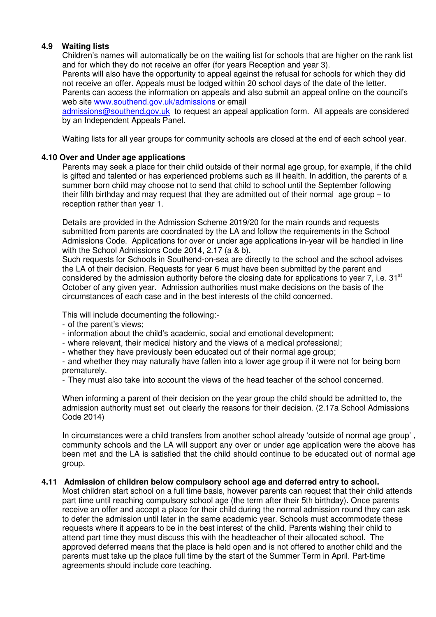#### **4.9 Waiting lists**

Children's names will automatically be on the waiting list for schools that are higher on the rank list and for which they do not receive an offer (for years Reception and year 3).

Parents will also have the opportunity to appeal against the refusal for schools for which they did not receive an offer. Appeals must be lodged within 20 school days of the date of the letter.

Parents can access the information on appeals and also submit an appeal online on the council's web site www.southend.gov.uk/admissions or email

admissions@southend.gov.uk to request an appeal application form. All appeals are considered by an Independent Appeals Panel.

Waiting lists for all year groups for community schools are closed at the end of each school year.

#### **4.10 Over and Under age applications**

Parents may seek a place for their child outside of their normal age group, for example, if the child is gifted and talented or has experienced problems such as ill health. In addition, the parents of a summer born child may choose not to send that child to school until the September following their fifth birthday and may request that they are admitted out of their normal age group – to reception rather than year 1.

Details are provided in the Admission Scheme 2019/20 for the main rounds and requests submitted from parents are coordinated by the LA and follow the requirements in the School Admissions Code. Applications for over or under age applications in-year will be handled in line with the School Admissions Code 2014, 2.17 (a & b).

Such requests for Schools in Southend-on-sea are directly to the school and the school advises the LA of their decision. Requests for year 6 must have been submitted by the parent and considered by the admission authority before the closing date for applications to year 7, i.e. 31<sup>st</sup> October of any given year. Admission authorities must make decisions on the basis of the circumstances of each case and in the best interests of the child concerned.

This will include documenting the following:-

- of the parent's views;
- information about the child's academic, social and emotional development;
- where relevant, their medical history and the views of a medical professional;
- whether they have previously been educated out of their normal age group;

- and whether they may naturally have fallen into a lower age group if it were not for being born prematurely.

- They must also take into account the views of the head teacher of the school concerned.

When informing a parent of their decision on the year group the child should be admitted to, the admission authority must set out clearly the reasons for their decision. (2.17a School Admissions Code 2014)

In circumstances were a child transfers from another school already 'outside of normal age group' , community schools and the LA will support any over or under age application were the above has been met and the LA is satisfied that the child should continue to be educated out of normal age group.

#### **4.11 Admission of children below compulsory school age and deferred entry to school.**

Most children start school on a full time basis, however parents can request that their child attends part time until reaching compulsory school age (the term after their 5th birthday). Once parents receive an offer and accept a place for their child during the normal admission round they can ask to defer the admission until later in the same academic year. Schools must accommodate these requests where it appears to be in the best interest of the child. Parents wishing their child to attend part time they must discuss this with the headteacher of their allocated school. The approved deferred means that the place is held open and is not offered to another child and the parents must take up the place full time by the start of the Summer Term in April. Part-time agreements should include core teaching.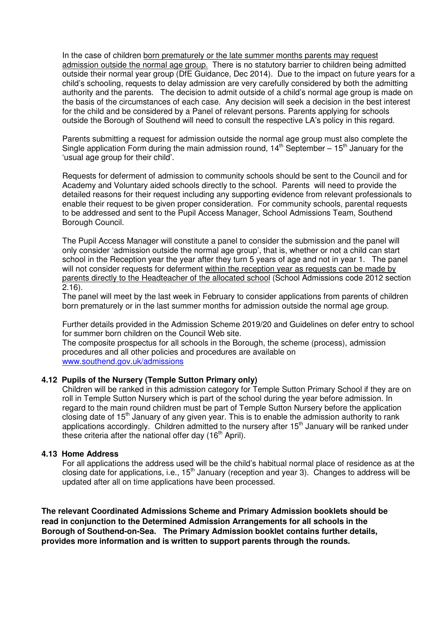In the case of children born prematurely or the late summer months parents may request admission outside the normal age group. There is no statutory barrier to children being admitted outside their normal year group (DfE Guidance, Dec 2014). Due to the impact on future years for a child's schooling, requests to delay admission are very carefully considered by both the admitting authority and the parents. The decision to admit outside of a child's normal age group is made on the basis of the circumstances of each case. Any decision will seek a decision in the best interest for the child and be considered by a Panel of relevant persons. Parents applying for schools outside the Borough of Southend will need to consult the respective LA's policy in this regard.

Parents submitting a request for admission outside the normal age group must also complete the Single application Form during the main admission round,  $14<sup>th</sup>$  September –  $15<sup>th</sup>$  January for the 'usual age group for their child'.

Requests for deferment of admission to community schools should be sent to the Council and for Academy and Voluntary aided schools directly to the school. Parents will need to provide the detailed reasons for their request including any supporting evidence from relevant professionals to enable their request to be given proper consideration. For community schools, parental requests to be addressed and sent to the Pupil Access Manager, School Admissions Team, Southend Borough Council.

The Pupil Access Manager will constitute a panel to consider the submission and the panel will only consider 'admission outside the normal age group', that is, whether or not a child can start school in the Reception year the year after they turn 5 years of age and not in year 1. The panel will not consider requests for deferment within the reception year as requests can be made by parents directly to the Headteacher of the allocated school (School Admissions code 2012 section  $2.16$ ).

The panel will meet by the last week in February to consider applications from parents of children born prematurely or in the last summer months for admission outside the normal age group.

Further details provided in the Admission Scheme 2019/20 and Guidelines on defer entry to school for summer born children on the Council Web site.

The composite prospectus for all schools in the Borough, the scheme (process), admission procedures and all other policies and procedures are available on www.southend.gov.uk/admissions

#### **4.12 Pupils of the Nursery (Temple Sutton Primary only)**

Children will be ranked in this admission category for Temple Sutton Primary School if they are on roll in Temple Sutton Nursery which is part of the school during the year before admission. In regard to the main round children must be part of Temple Sutton Nursery before the application closing date of  $15<sup>th</sup>$  January of any given year. This is to enable the admission authority to rank applications accordingly. Children admitted to the nursery after 15<sup>th</sup> January will be ranked under these criteria after the national offer day  $(16<sup>th</sup>$  April).

#### **4.13 Home Address**

For all applications the address used will be the child's habitual normal place of residence as at the closing date for applications, i.e., 15<sup>th</sup> January (reception and year 3). Changes to address will be updated after all on time applications have been processed.

**The relevant Coordinated Admissions Scheme and Primary Admission booklets should be read in conjunction to the Determined Admission Arrangements for all schools in the Borough of Southend-on-Sea. The Primary Admission booklet contains further details, provides more information and is written to support parents through the rounds.**